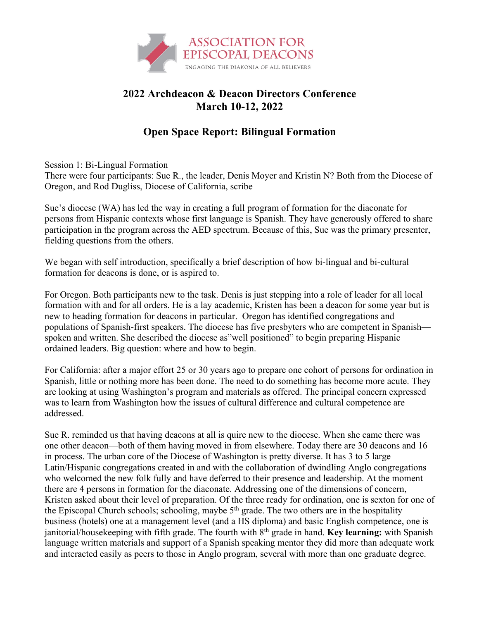

## **2022 Archdeacon & Deacon Directors Conference March 10-12, 2022**

## **Open Space Report: Bilingual Formation**

Session 1: Bi-Lingual Formation

There were four participants: Sue R., the leader, Denis Moyer and Kristin N? Both from the Diocese of Oregon, and Rod Dugliss, Diocese of California, scribe

Sue's diocese (WA) has led the way in creating a full program of formation for the diaconate for persons from Hispanic contexts whose first language is Spanish. They have generously offered to share participation in the program across the AED spectrum. Because of this, Sue was the primary presenter, fielding questions from the others.

We began with self introduction, specifically a brief description of how bi-lingual and bi-cultural formation for deacons is done, or is aspired to.

For Oregon. Both participants new to the task. Denis is just stepping into a role of leader for all local formation with and for all orders. He is a lay academic, Kristen has been a deacon for some year but is new to heading formation for deacons in particular. Oregon has identified congregations and populations of Spanish-first speakers. The diocese has five presbyters who are competent in Spanish spoken and written. She described the diocese as"well positioned" to begin preparing Hispanic ordained leaders. Big question: where and how to begin.

For California: after a major effort 25 or 30 years ago to prepare one cohort of persons for ordination in Spanish, little or nothing more has been done. The need to do something has become more acute. They are looking at using Washington's program and materials as offered. The principal concern expressed was to learn from Washington how the issues of cultural difference and cultural competence are addressed.

Sue R. reminded us that having deacons at all is quire new to the diocese. When she came there was one other deacon—both of them having moved in from elsewhere. Today there are 30 deacons and 16 in process. The urban core of the Diocese of Washington is pretty diverse. It has 3 to 5 large Latin/Hispanic congregations created in and with the collaboration of dwindling Anglo congregations who welcomed the new folk fully and have deferred to their presence and leadership. At the moment there are 4 persons in formation for the diaconate. Addressing one of the dimensions of concern, Kristen asked about their level of preparation. Of the three ready for ordination, one is sexton for one of the Episcopal Church schools; schooling, maybe  $5<sup>th</sup>$  grade. The two others are in the hospitality business (hotels) one at a management level (and a HS diploma) and basic English competence, one is janitorial/housekeeping with fifth grade. The fourth with 8th grade in hand. **Key learning:** with Spanish language written materials and support of a Spanish speaking mentor they did more than adequate work and interacted easily as peers to those in Anglo program, several with more than one graduate degree.